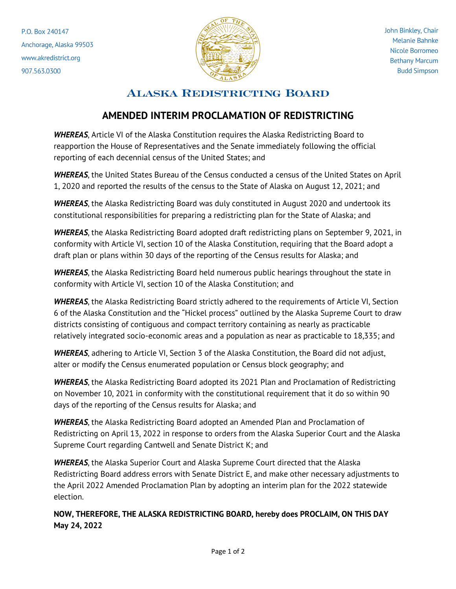P.O. Box 240147 Anchorage, Alaska 99503 www.akredistrict.org 907.563.0300



## **ALASKA REDISTRICTING BOARD**

## **AMENDED INTERIM PROCLAMATION OF REDISTRICTING**

*WHEREAS*, Article VI of the Alaska Constitution requires the Alaska Redistricting Board to reapportion the House of Representatives and the Senate immediately following the official reporting of each decennial census of the United States; and

*WHEREAS*, the United States Bureau of the Census conducted a census of the United States on April 1, 2020 and reported the results of the census to the State of Alaska on August 12, 2021; and

*WHEREAS*, the Alaska Redistricting Board was duly constituted in August 2020 and undertook its constitutional responsibilities for preparing a redistricting plan for the State of Alaska; and

*WHEREAS*, the Alaska Redistricting Board adopted draft redistricting plans on September 9, 2021, in conformity with Article VI, section 10 of the Alaska Constitution, requiring that the Board adopt a draft plan or plans within 30 days of the reporting of the Census results for Alaska; and

*WHEREAS*, the Alaska Redistricting Board held numerous public hearings throughout the state in conformity with Article VI, section 10 of the Alaska Constitution; and

*WHEREAS*, the Alaska Redistricting Board strictly adhered to the requirements of Article VI, Section 6 of the Alaska Constitution and the "Hickel process" outlined by the Alaska Supreme Court to draw districts consisting of contiguous and compact territory containing as nearly as practicable relatively integrated socio-economic areas and a population as near as practicable to 18,335; and

*WHEREAS*, adhering to Article VI, Section 3 of the Alaska Constitution, the Board did not adjust, alter or modify the Census enumerated population or Census block geography; and

*WHEREAS*, the Alaska Redistricting Board adopted its 2021 Plan and Proclamation of Redistricting on November 10, 2021 in conformity with the constitutional requirement that it do so within 90 days of the reporting of the Census results for Alaska; and

*WHEREAS*, the Alaska Redistricting Board adopted an Amended Plan and Proclamation of Redistricting on April 13, 2022 in response to orders from the Alaska Superior Court and the Alaska Supreme Court regarding Cantwell and Senate District K; and

*WHEREAS*, the Alaska Superior Court and Alaska Supreme Court directed that the Alaska Redistricting Board address errors with Senate District E, and make other necessary adjustments to the April 2022 Amended Proclamation Plan by adopting an interim plan for the 2022 statewide election.

**NOW, THEREFORE, THE ALASKA REDISTRICTING BOARD, hereby does PROCLAIM, ON THIS DAY May 24, 2022**